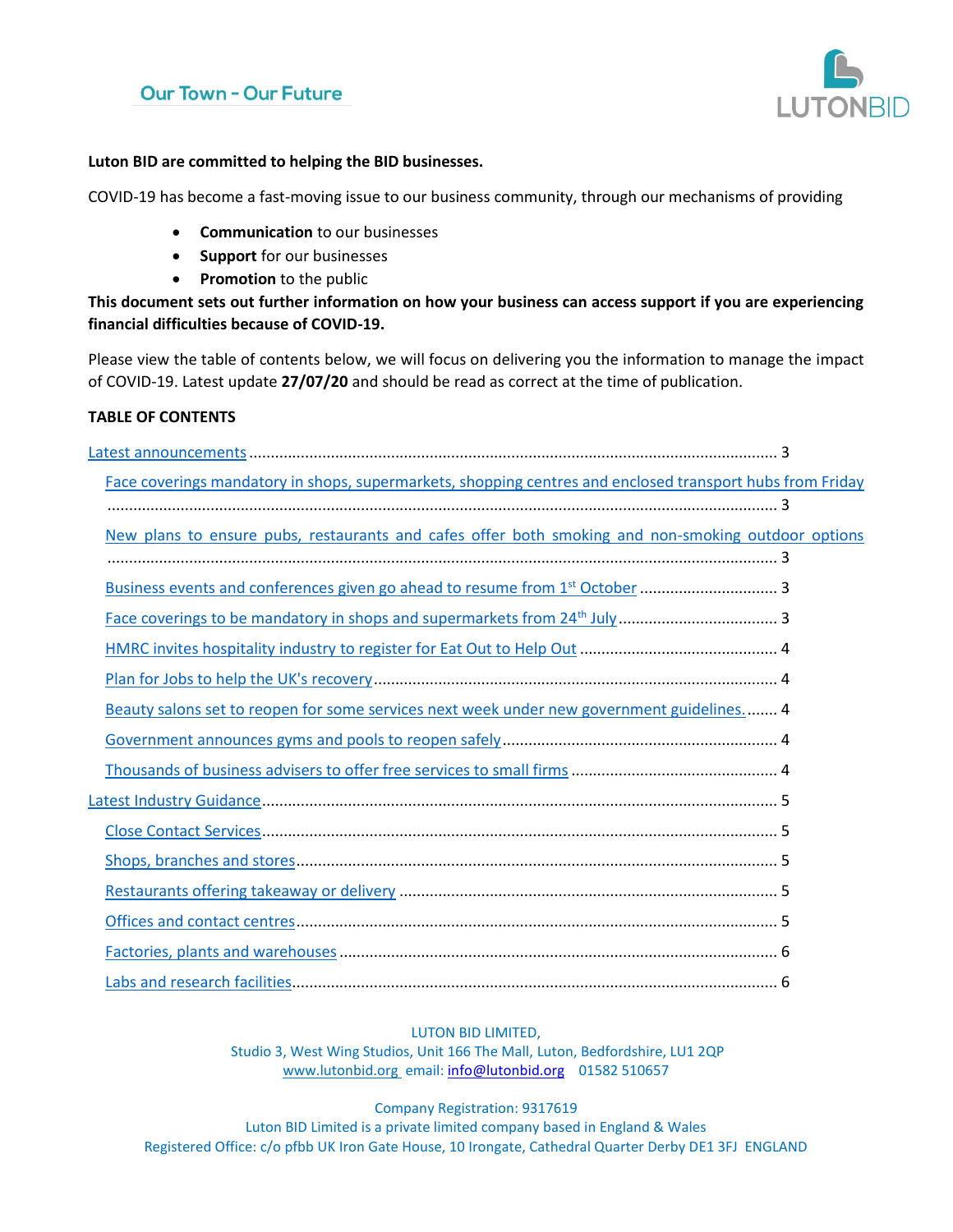## **Our Town - Our Future**



#### **Luton BID are committed to helping the BID businesses.**

COVID-19 has become a fast-moving issue to our business community, through our mechanisms of providing

- **Communication** to our businesses
- **Support** for our businesses
- **Promotion** to the public

**This document sets out further information on how your business can access support if you are experiencing financial difficulties because of COVID-19.** 

Please view the table of contents below, we will focus on delivering you the information to manage the impact of COVID-19. Latest update **27/07/20** and should be read as correct at the time of publication.

#### **TABLE OF CONTENTS**

| Face coverings mandatory in shops, supermarkets, shopping centres and enclosed transport hubs from Friday |  |
|-----------------------------------------------------------------------------------------------------------|--|
|                                                                                                           |  |
| New plans to ensure pubs, restaurants and cafes offer both smoking and non-smoking outdoor options        |  |
|                                                                                                           |  |
|                                                                                                           |  |
|                                                                                                           |  |
|                                                                                                           |  |
|                                                                                                           |  |
| Beauty salons set to reopen for some services next week under new government guidelines 4                 |  |
|                                                                                                           |  |
|                                                                                                           |  |
|                                                                                                           |  |
|                                                                                                           |  |
|                                                                                                           |  |
|                                                                                                           |  |
|                                                                                                           |  |
|                                                                                                           |  |
|                                                                                                           |  |

#### LUTON BID LIMITED,

Studio 3, West Wing Studios, Unit 166 The Mall, Luton, Bedfordshire, LU1 2QP [www.lutonbid.org](http://www.lutonbid.org/) email: [info@lutonbid.org](mailto:info@lutonbid.org) 01582 510657

Company Registration: 9317619

Luton BID Limited is a private limited company based in England & Wales Registered Office: c/o pfbb UK Iron Gate House, 10 Irongate, Cathedral Quarter Derby DE1 3FJ ENGLAND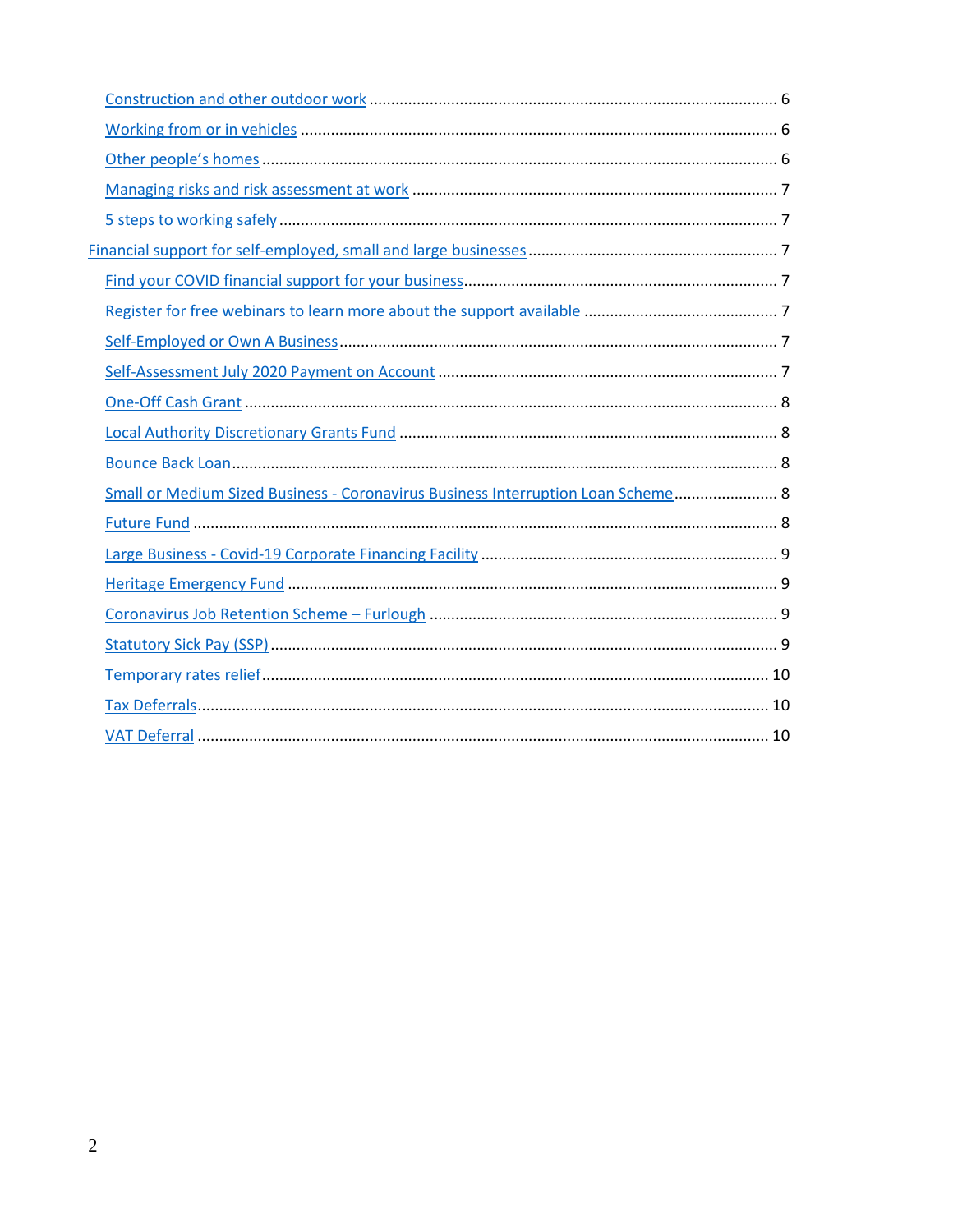| Small or Medium Sized Business - Coronavirus Business Interruption Loan Scheme 8 |  |
|----------------------------------------------------------------------------------|--|
|                                                                                  |  |
|                                                                                  |  |
|                                                                                  |  |
|                                                                                  |  |
|                                                                                  |  |
|                                                                                  |  |
|                                                                                  |  |
|                                                                                  |  |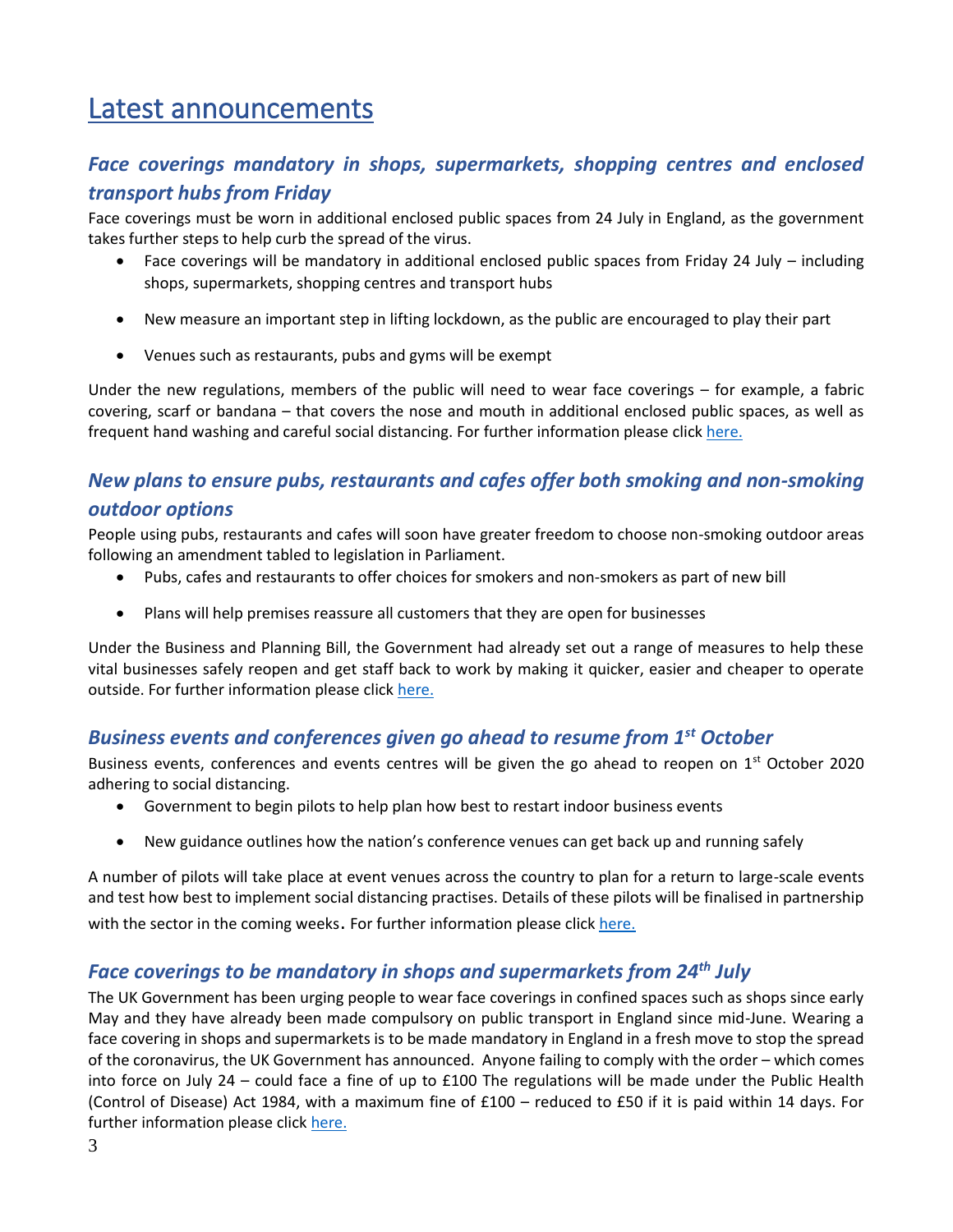# <span id="page-2-0"></span>Latest announcements

## <span id="page-2-1"></span>*Face coverings mandatory in shops, supermarkets, shopping centres and enclosed transport hubs from Friday*

Face coverings must be worn in additional enclosed public spaces from 24 July in England, as the government takes further steps to help curb the spread of the virus.

- Face coverings will be mandatory in additional enclosed public spaces from Friday 24 July including shops, supermarkets, shopping centres and transport hubs
- New measure an important step in lifting lockdown, as the public are encouraged to play their part
- Venues such as restaurants, pubs and gyms will be exempt

Under the new regulations, members of the public will need to wear face coverings – for example, a fabric covering, scarf or bandana – that covers the nose and mouth in additional enclosed public spaces, as well as frequent hand washing and careful social distancing. For further information please click [here.](https://www.gov.uk/government/news/face-coverings-mandatory-in-shops-supermarkets-shopping-centres-and-enclosed-transport-hubs-from-friday)

## <span id="page-2-2"></span>*New plans to ensure pubs, restaurants and cafes offer both smoking and non-smoking outdoor options*

People using pubs, restaurants and cafes will soon have greater freedom to choose non-smoking outdoor areas following an amendment tabled to legislation in Parliament.

- Pubs, cafes and restaurants to offer choices for smokers and non-smokers as part of new bill
- Plans will help premises reassure all customers that they are open for businesses

Under the Business and Planning Bill, the Government had already set out a range of measures to help these vital businesses safely reopen and get staff back to work by making it quicker, easier and cheaper to operate outside. For further information please click [here.](https://www.gov.uk/government/news/new-plans-to-ensure-pubs-restaurants-and-cafes-offer-both-smoking-and-non-smoking-outdoor-options?utm_source=a96eafc5-e2cf-4308-b09d-80cbeec1c163&utm_medium=email&utm_campaign=govuk-notifications&utm_content=daily)

### <span id="page-2-3"></span>*Business events and conferences given go ahead to resume from 1st October*

Business events, conferences and events centres will be given the go ahead to reopen on  $1<sup>st</sup>$  October 2020 adhering to social distancing.

- Government to begin pilots to help plan how best to restart indoor business events
- New guidance outlines how the nation's conference venues can get back up and running safely

A number of pilots will take place at event venues across the country to plan for a return to large-scale events and test how best to implement social distancing practises. Details of these pilots will be finalised in partnership with the sector in the coming weeks. For further information please click [here.](https://www.gov.uk/government/news/business-events-and-conferences-given-go-ahead-to-resume-from-1-october?utm_source=7dff2dda-89ad-45e3-a1a9-7e6a9fc00064&utm_medium=email&utm_campaign=govuk-notifications&utm_content=daily)

## <span id="page-2-4"></span>*Face coverings to be mandatory in shops and supermarkets from 24th July*

The UK Government has been urging people to wear face coverings in confined spaces such as shops since early May and they have already been made compulsory on public transport in England since mid-June. Wearing a face covering in shops and supermarkets is to be made mandatory in England in a fresh move to stop the spread of the coronavirus, the UK Government has announced. Anyone failing to comply with the order – which comes into force on July 24 – could face a fine of up to £100 The regulations will be made under the Public Health (Control of Disease) Act 1984, with a maximum fine of £100 – reduced to £50 if it is paid within 14 days. For further information please clic[k here.](https://www.gov.uk/government/speeches/face-coverings-to-be-mandatory-in-shops-and-supermarkets-from-24-july?utm_source=c6b2ee0b-9d00-4bab-9401-7e2afb1f6d21&utm_medium=email&utm_campaign=govuk-notifications&utm_content=daily)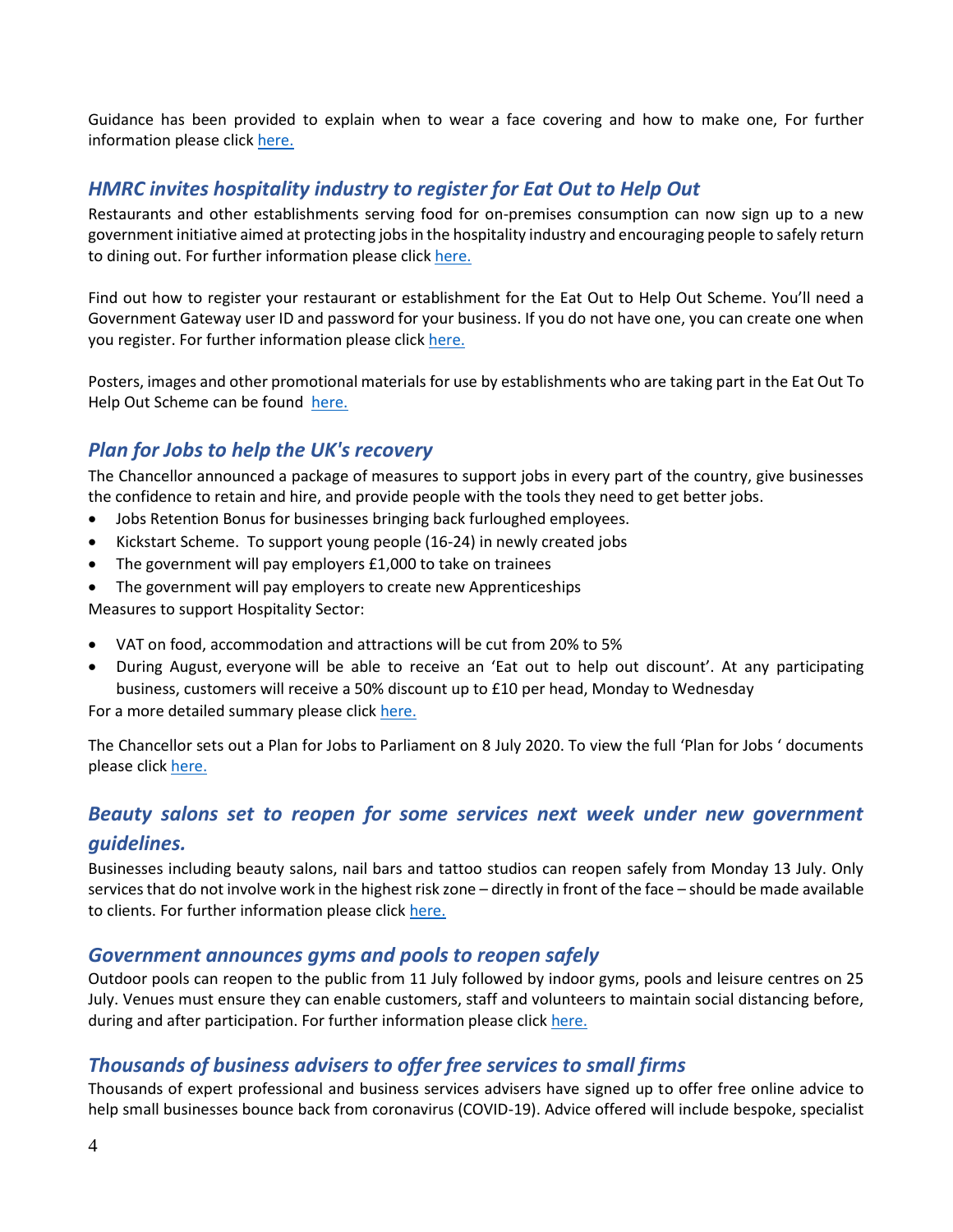Guidance has been provided to explain when to wear a face covering and how to make one, For further information please clic[k here.](https://www.gov.uk/government/publications/face-coverings-when-to-wear-one-and-how-to-make-your-own/face-coverings-when-to-wear-one-and-how-to-make-your-own)

## <span id="page-3-0"></span>*HMRC invites hospitality industry to register for Eat Out to Help Out*

Restaurants and other establishments serving food for on-premises consumption can now sign up to a new government initiative aimed at protecting jobs in the hospitality industry and encouraging people to safely return to dining out. For further information please clic[k here.](https://www.gov.uk/government/publications/get-more-information-about-the-eat-out-to-help-out-scheme/get-more-information-about-the-eat-out-to-help-out-scheme)

Find out how to register your restaurant or establishment for the Eat Out to Help Out Scheme. You'll need a Government Gateway user ID and password for your business. If you do not have one, you can create one when you register. For further information please click [here.](https://www.gov.uk/guidance/register-your-establishment-for-the-eat-out-to-help-out-scheme?utm_source=4783ef6b-1939-4072-8311-f58a0a39e451&utm_medium=email&utm_campaign=govuk-notifications&utm_content=daily)

Posters, images and other promotional materials for use by establishments who are taking part in the Eat Out To Help Out Scheme can be found [here.](https://www.gov.uk/government/publications/eat-out-to-help-out-scheme-promotional-materials?utm_source=eca9b856-2878-4866-8cd8-8cca1cba1c39&utm_medium=email&utm_campaign=govuk-notifications&utm_content=daily)

## <span id="page-3-1"></span>*Plan for Jobs to help the UK's recovery*

The Chancellor announced a package of measures to support jobs in every part of the country, give businesses the confidence to retain and hire, and provide people with the tools they need to get better jobs.

- Jobs Retention Bonus for businesses bringing back furloughed employees.
- Kickstart Scheme. To support young people (16-24) in newly created jobs
- The government will pay employers £1,000 to take on trainees
- The government will pay employers to create new Apprenticeships

Measures to support Hospitality Sector:

- VAT on food, accommodation and attractions will be cut from 20% to 5%
- During August, everyone will be able to receive an 'Eat out to help out discount'. At any participating business, customers will receive a 50% discount up to £10 per head, Monday to Wednesday

For a more detailed summary please click [here.](https://www.gov.uk/government/news/rishis-plan-for-jobs-will-help-britain-bounce-back)

The Chancellor sets out a Plan for Jobs to Parliament on 8 July 2020. To view the full 'Plan for Jobs ' documents please click [here.](https://assets.publishing.service.gov.uk/government/uploads/system/uploads/attachment_data/file/898421/A_Plan_for_Jobs__Web_.pdf)

## <span id="page-3-2"></span>*Beauty salons set to reopen for some services next week under new government guidelines.*

Businesses including beauty salons, nail bars and tattoo studios can reopen safely from Monday 13 July. Only services that do not involve work in the highest risk zone – directly in front of the face – should be made available to clients. For further information please click [here.](https://www.gov.uk/government/news/beauty-salons-set-to-reopen-for-some-services-next-week-under-new-government-guidelines)

#### <span id="page-3-3"></span>*Government announces gyms and pools to reopen safely*

Outdoor pools can reopen to the public from 11 July followed by indoor gyms, pools and leisure centres on 25 July. Venues must ensure they can enable customers, staff and volunteers to maintain social distancing before, during and after participation. For further information please click [here.](https://www.gov.uk/government/news/government-announces-gyms-and-pools-to-reopen-safely)

### <span id="page-3-4"></span>*Thousands of business advisers to offer free services to small firms*

Thousands of expert professional and business services advisers have signed up to offer free online advice to help small businesses bounce back from coronavirus (COVID-19). Advice offered will include bespoke, specialist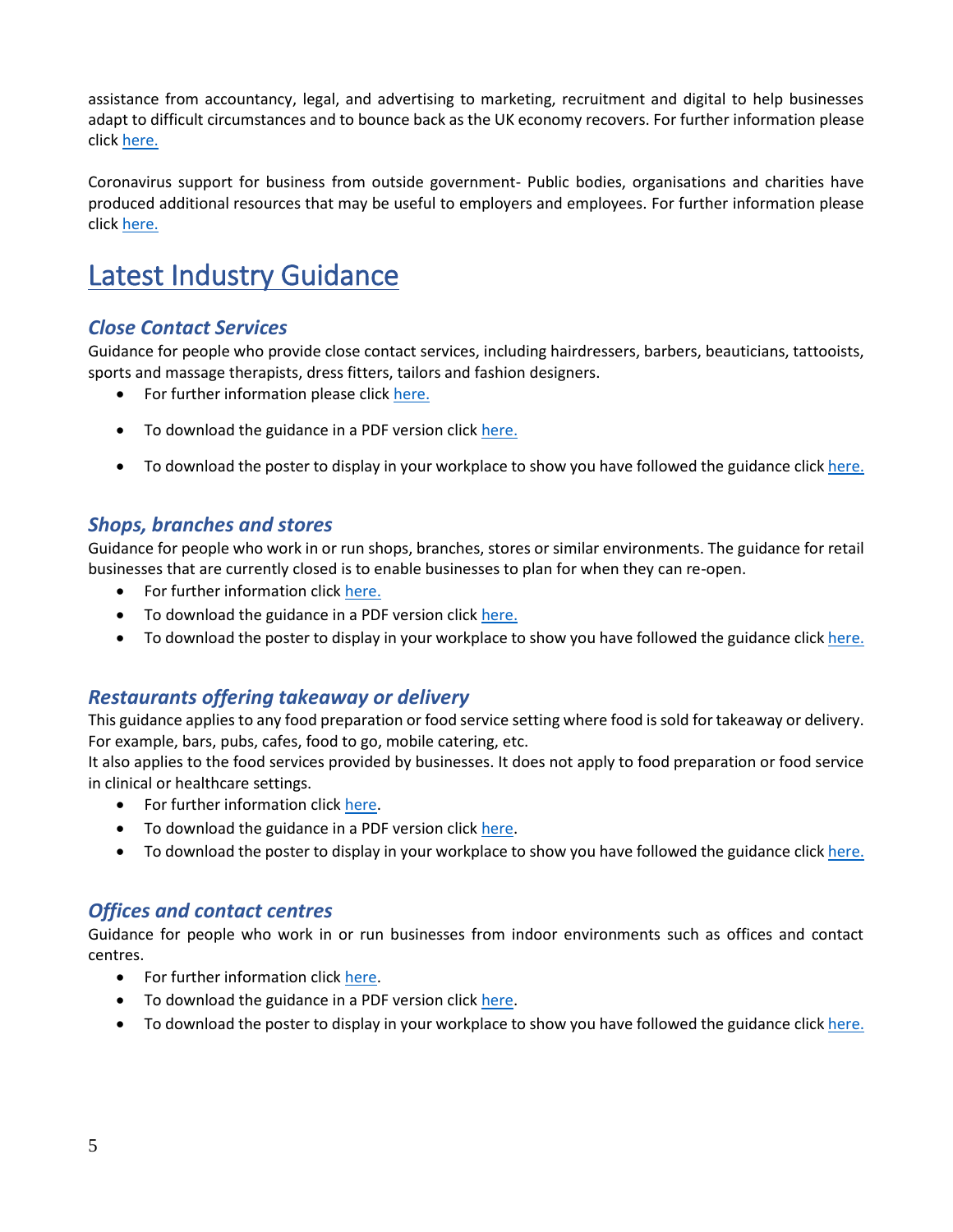assistance from accountancy, legal, and advertising to marketing, recruitment and digital to help businesses adapt to difficult circumstances and to bounce back as the UK economy recovers. For further information please clic[k here.](https://www.gov.uk/government/news/thousands-of-business-advisers-to-offer-free-services-to-small-firms)

Coronavirus support for business from outside government- Public bodies, organisations and charities have produced additional resources that may be useful to employers and employees. For further information please clic[k here.](https://www.gov.uk/guidance/coronavirus-support-for-business-from-outside-government?utm_source=72217b78-158a-420e-8410-76f6f8136e8c&utm_medium=email&utm_campaign=govuk-notifications&utm_content=daily)

# <span id="page-4-0"></span>Latest Industry Guidance

#### <span id="page-4-1"></span>*Close Contact Services*

Guidance for people who provide close contact services, including hairdressers, barbers, beauticians, tattooists, sports and massage therapists, dress fitters, tailors and fashion designers.

- For further information please click [here.](https://www.gov.uk/guidance/working-safely-during-coronavirus-covid-19/close-contact-services)
- To download the guidance in a PDF version click [here.](https://assets.publishing.service.gov.uk/media/5ef2889986650c12970e9b57/Keeping-workers-and-clients-safe-during-covid-19-close-contact-services-230620.pdf)
- To download the poster to display in your workplace to show you have followed the guidance click [here.](https://assets.publishing.service.gov.uk/media/5ef2895ee90e075c5582f4d1/staying-covid-19-secure-accessible.pdf)

#### <span id="page-4-2"></span>*Shops, branches and stores*

Guidance for people who work in or run shops, branches, stores or similar environments. The guidance for retail businesses that are currently closed is to enable businesses to plan for when they can re-open.

- For further information clic[k here.](https://www.gov.uk/guidance/working-safely-during-coronavirus-covid-19/shops-and-branches)
- To download the guidance in a PDF version click [here.](https://assets.publishing.service.gov.uk/media/5eb9703de90e07082fa57ce0/working-safely-during-covid-19-shops-branches-110520.pdf)
- To download the poster to display in your workplace to show you have followed the guidance click [here.](https://assets.publishing.service.gov.uk/media/5ef2895ee90e075c5582f4d1/staying-covid-19-secure-accessible.pdf)

#### <span id="page-4-3"></span>*Restaurants offering takeaway or delivery*

This guidance applies to any food preparation or food service setting where food is sold for takeaway or delivery. For example, bars, pubs, cafes, food to go, mobile catering, etc.

It also applies to the food services provided by businesses. It does not apply to food preparation or food service in clinical or healthcare settings.

- For further information clic[k here.](https://www.gov.uk/guidance/working-safely-during-coronavirus-covid-19/restaurants-offering-takeaway-or-delivery)
- To download the guidance in a PDF version click [here.](https://assets.publishing.service.gov.uk/media/5eb96e8e86650c278b077616/working-safely-during-covid-19-restaurants-takeaway-delivery-110520.pdf)
- To download the poster to display in your workplace to show you have followed the guidance click [here.](https://assets.publishing.service.gov.uk/media/5ef2895ee90e075c5582f4d1/staying-covid-19-secure-accessible.pdf)

#### <span id="page-4-4"></span>*Offices and contact centres*

Guidance for people who work in or run businesses from indoor environments such as offices and contact centres.

- For further information clic[k here.](https://www.gov.uk/guidance/working-safely-during-coronavirus-covid-19/offices-and-contact-centres)
- To download the guidance in a PDF version click [here.](https://assets.publishing.service.gov.uk/media/5eb97e7686650c278d4496ea/working-safely-during-covid-19-offices-contact-centres-110520.pdf)
- To download the poster to display in your workplace to show you have followed the guidance click [here.](https://assets.publishing.service.gov.uk/media/5ef2895ee90e075c5582f4d1/staying-covid-19-secure-accessible.pdf)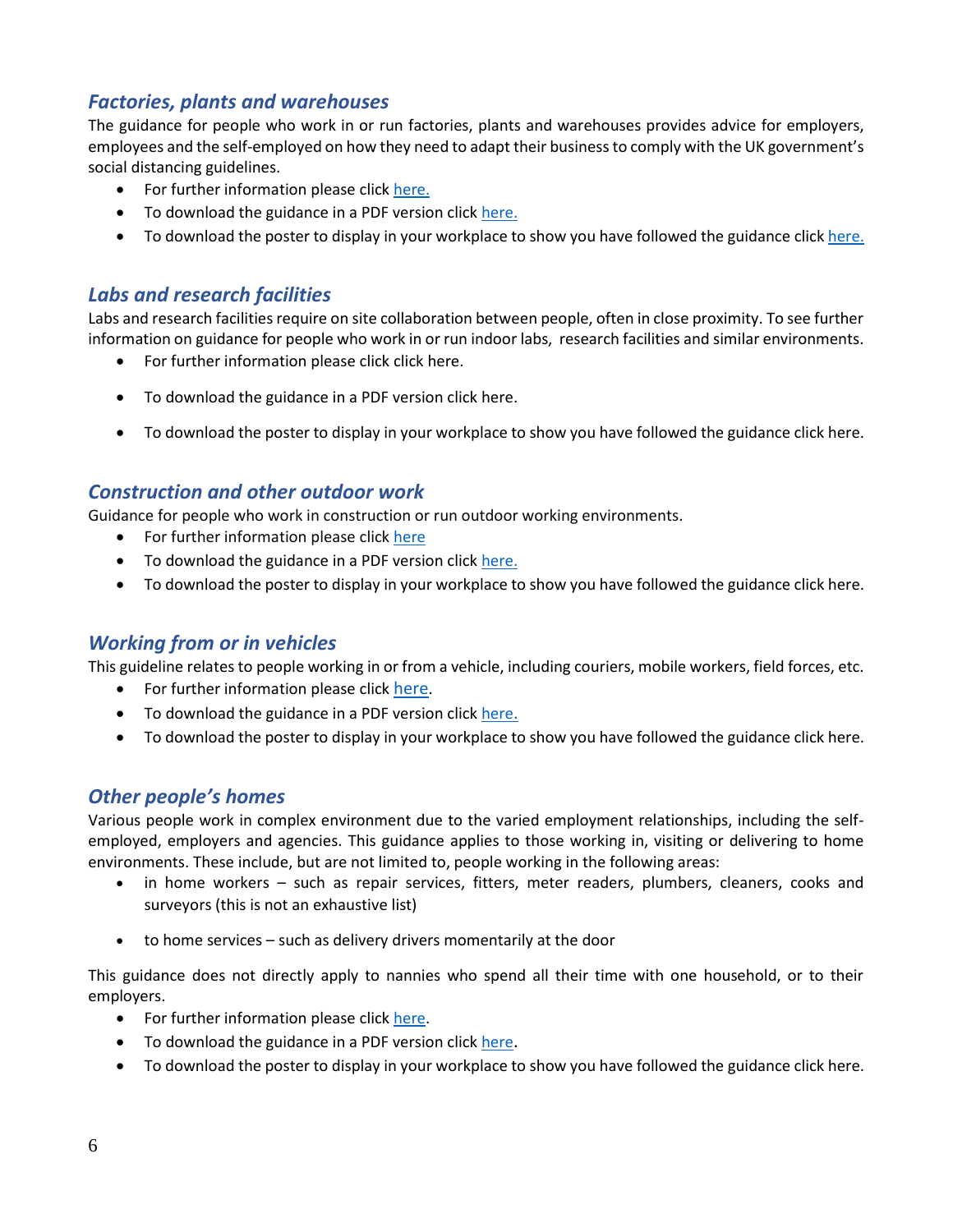### <span id="page-5-0"></span>*Factories, plants and warehouses*

The guidance for people who work in or run factories, plants and warehouses provides advice for employers, employees and the self-employed on how they need to adapt their business to comply with the UK government's social distancing guidelines.

- For further information please click [here.](https://www.gov.uk/guidance/working-safely-during-coronavirus-covid-19/factories-plants-and-warehouses)
- To download the guidance in a PDF version click [here.](https://assets.publishing.service.gov.uk/media/5eb965d5d3bf7f5d3c74a2dd/working-safely-during-covid-19-factories-plants-warehouses-110520.pdf)
- To download the poster to display in your workplace to show you have followed the guidance click [here.](https://assets.publishing.service.gov.uk/media/5ef2895ee90e075c5582f4d1/staying-covid-19-secure-accessible.pdf)

#### <span id="page-5-1"></span>*Labs and research facilities*

Labs and research facilities require on site collaboration between people, often in close proximity. To see further information on guidance for people who work in or run indoor labs, research facilities and similar environments.

- For further information please click clic[k here.](https://www.gov.uk/guidance/working-safely-during-coronavirus-covid-19/labs-and-research-facilities)
- To download the guidance in a PDF version click [here.](https://assets.publishing.service.gov.uk/media/5eb9752086650c2799a57ac5/working-safely-during-covid-19-labs-research-facilities-110520.pdf)
- To download the poster to display in your workplace to show you have followed the guidance click [here.](https://assets.publishing.service.gov.uk/media/5ef2895ee90e075c5582f4d1/staying-covid-19-secure-accessible.pdf)

#### <span id="page-5-2"></span>*Construction and other outdoor work*

Guidance for people who work in construction or run outdoor working environments.

- For further information please click [here](https://www.gov.uk/guidance/working-safely-during-coronavirus-covid-19/construction-and-other-outdoor-work)
- To download the guidance in a PDF version click [here.](https://assets.publishing.service.gov.uk/media/5eb961bfe90e070834b6675f/working-safely-during-covid-19-construction-outdoors-110520.pdf)
- To download the poster to display in your workplace to show you have followed the guidance click [here.](https://assets.publishing.service.gov.uk/media/5ef2895ee90e075c5582f4d1/staying-covid-19-secure-accessible.pdf)

#### <span id="page-5-3"></span>*Working from or in vehicles*

This guideline relates to people working in or from a vehicle, including couriers, mobile workers, field forces, etc.

- For further information please click [here](https://www.gov.uk/guidance/working-safely-during-coronavirus-covid-19/vehicles).
- To download the guidance in a PDF version click [here](https://assets.publishing.service.gov.uk/media/5eb96cd6d3bf7f5d3a907e58/working-safely-during-covid-19-vehicles-110520.pdf)[.](https://assets.publishing.service.gov.uk/media/5eb96cd6d3bf7f5d3a907e58/working-safely-during-covid-19-vehicles-110520.pdf)
- To download the poster to display in your workplace to show you have followed the guidance click [here.](https://assets.publishing.service.gov.uk/media/5ef2895ee90e075c5582f4d1/staying-covid-19-secure-accessible.pdf)

#### <span id="page-5-4"></span>*Other people's homes*

Various people work in complex environment due to the varied employment relationships, including the selfemployed, employers and agencies. This guidance applies to those working in, visiting or delivering to home environments. These include, but are not limited to, people working in the following areas:

- in home workers such as repair services, fitters, meter readers, plumbers, cleaners, cooks and surveyors (this is not an exhaustive list)
- to home services such as delivery drivers momentarily at the door

This guidance does not directly apply to nannies who spend all their time with one household, or to their employers.

- For further information please click [here.](https://www.gov.uk/guidance/working-safely-during-coronavirus-covid-19/homes)
- To download the guidance in a PDF version click [here](https://assets.publishing.service.gov.uk/media/5eb967e286650c2791ec7100/working-safely-during-covid-19-other-peoples-homes-110520.pdf).
- To download the poster to display in your workplace to show you have followed the guidance click [here.](https://assets.publishing.service.gov.uk/media/5ef2895ee90e075c5582f4d1/staying-covid-19-secure-accessible.pdf)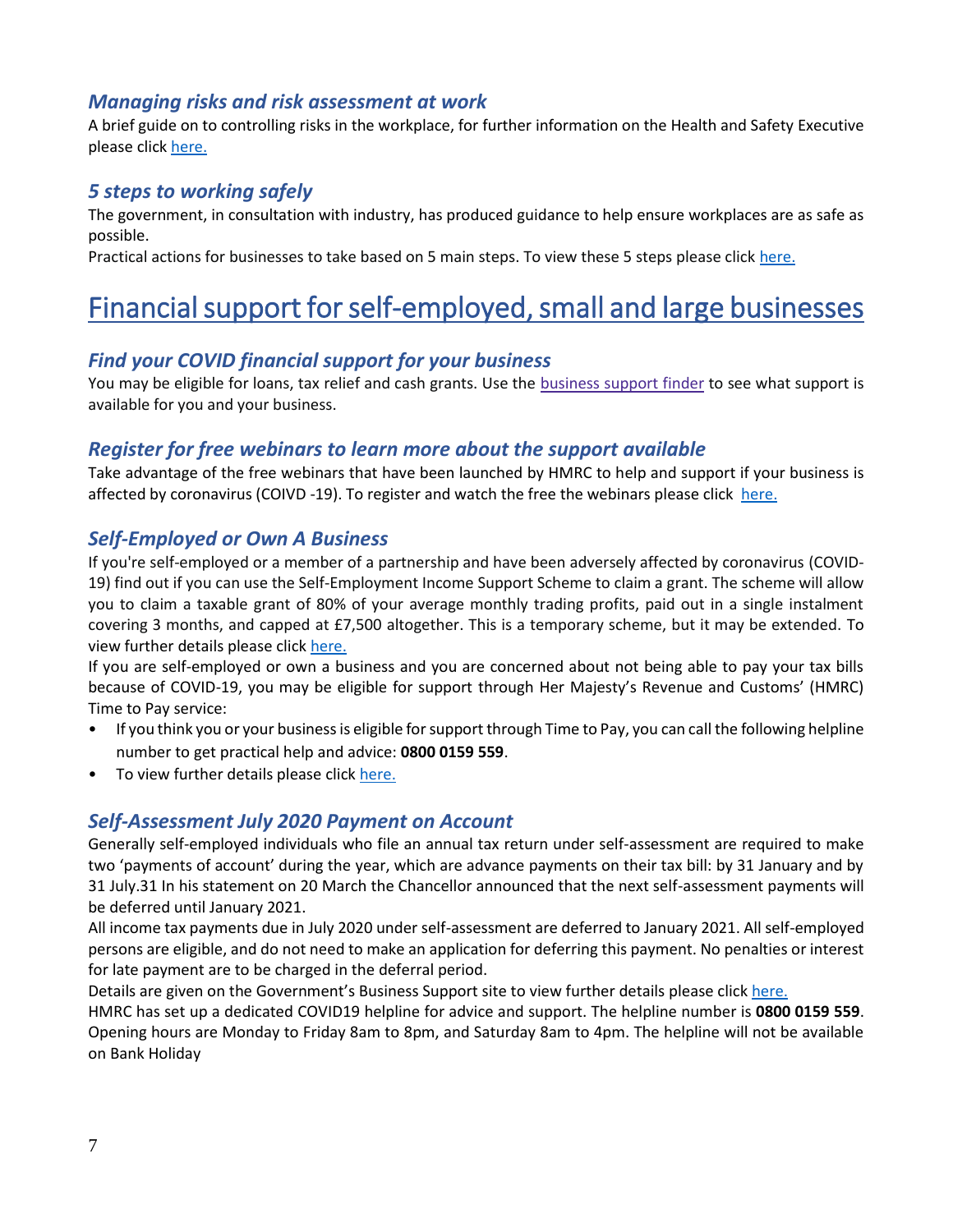#### <span id="page-6-0"></span>*Managing risks and risk assessment at work*

A brief guide on to controlling risks in the workplace, for further information on the Health and Safety Executive please click [here.](https://www.hse.gov.uk/simple-health-safety/risk/index.htm)

#### <span id="page-6-1"></span>*5 steps to working safely*

The government, in consultation with industry, has produced guidance to help ensure workplaces are as safe as possible.

Practical actions for businesses to take based on 5 main steps. To view these 5 steps please click [here.](https://www.gov.uk/guidance/working-safely-during-coronavirus-covid-19/5-steps-to-working-safely)

# <span id="page-6-2"></span>Financial support for self-employed, small and large businesses

#### <span id="page-6-3"></span>*Find your COVID financial support for your business*

You may be eligible for loans, tax relief and cash grants. Use the [business](https://www.gov.uk/business-coronavirus-support-finder) support finder to see what support is available for you and your business.

#### <span id="page-6-4"></span>*Register for free webinars to learn more about the support available*

Take advantage of the free webinars that have been launched by HMRC to help and support if your business is affected by coronavirus (COIVD -19). To register and watch the free the webinars please click [here.](https://www.gov.uk/guidance/help-and-support-if-your-business-is-affected-by-coronavirus-covid-19?utm_source=a4b7c6f4-7063-4d88-957b-b68d6480a86d&utm_medium=email&utm_campaign=govuk-notifications&utm_content=daily)

#### <span id="page-6-5"></span>*Self-Employed or Own A Business*

If you're self-employed or a member of a partnership and have been adversely affected by coronavirus (COVID-19) find out if you can use the Self-Employment Income Support Scheme to claim a grant. The scheme will allow you to claim a taxable grant of 80% of your average monthly trading profits, paid out in a single instalment covering 3 months, and capped at £7,500 altogether. This is a temporary scheme, but it may be extended. To view further details please clic[k here.](https://www.gov.uk/guidance/claim-a-grant-through-the-coronavirus-covid-19-self-employment-income-support-scheme#other-help-you-can-get)

If you are self-employed or own a business and you are concerned about not being able to pay your tax bills because of COVID-19, you may be eligible for support through Her Majesty's Revenue and Customs' (HMRC) Time to Pay service:

- If you think you or your business is eligible for support through Time to Pay, you can call the following helpline number to get practical help and advice: **0800 0159 559**.
- To view further details please click [here.](https://www.gov.uk/government/news/tax-helpline-to-support-businesses-affected-by-coronavirus-covid-19)

### <span id="page-6-6"></span>*Self-Assessment July 2020 Payment on Account*

Generally self-employed individuals who file an annual tax return under self-assessment are required to make two 'payments of account' during the year, which are advance payments on their tax bill: by 31 January and by 31 July.31 In his statement on 20 March the Chancellor announced that the next self-assessment payments will be deferred until January 2021.

All income tax payments due in July 2020 under self-assessment are deferred to January 2021. All self-employed persons are eligible, and do not need to make an application for deferring this payment. No penalties or interest for late payment are to be charged in the deferral period.

Details are given on the Government's Business Support site to view further details please click [here.](https://www.businesssupport.gov.uk/income-tax-deferral-for-the-self-employed/)

HMRC has set up a dedicated COVID19 helpline for advice and support. The helpline number is **0800 0159 559**. Opening hours are Monday to Friday 8am to 8pm, and Saturday 8am to 4pm. The helpline will not be available on Bank Holiday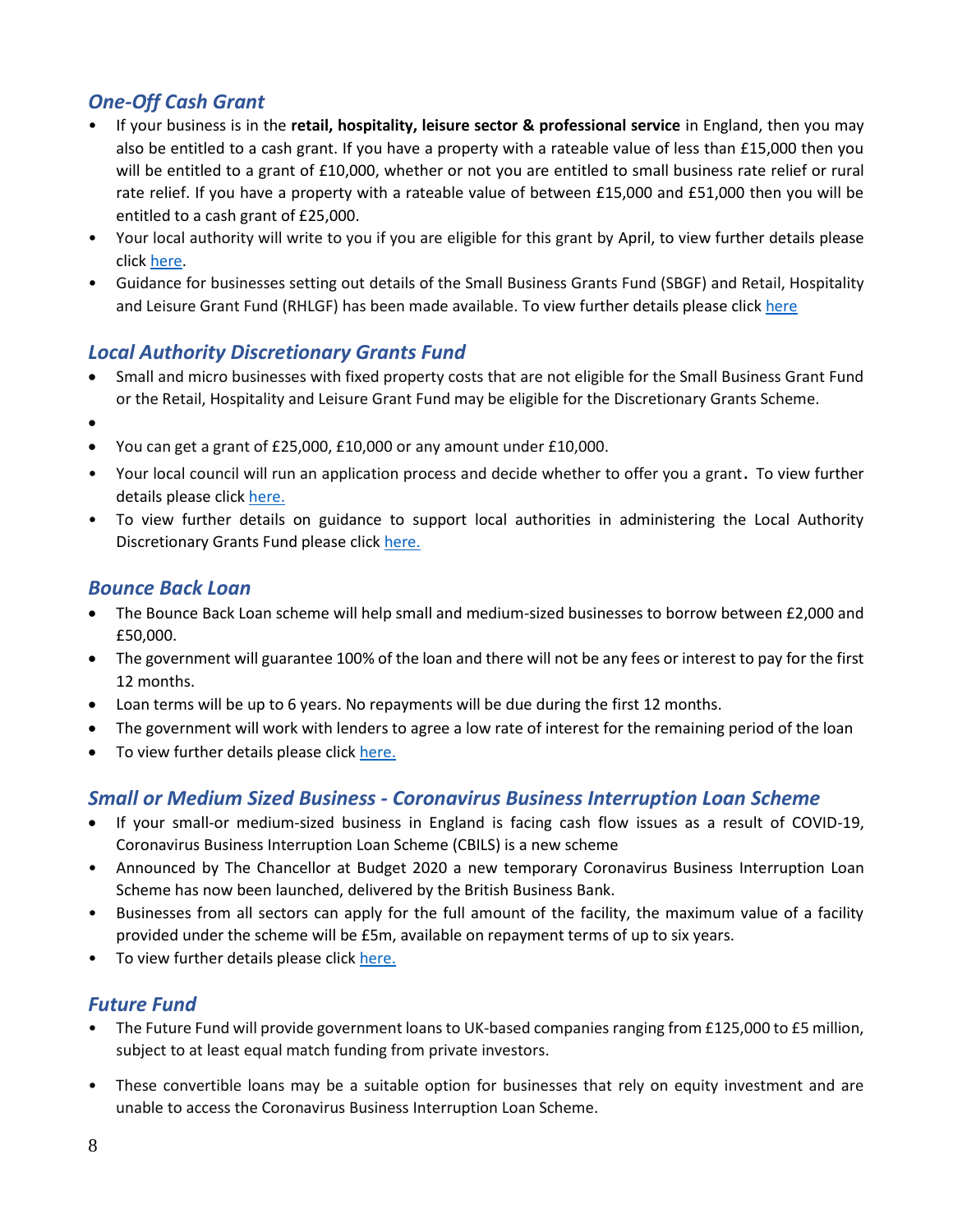## <span id="page-7-0"></span>*One-Off Cash Grant*

- If your business is in the **retail, hospitality, leisure sector & professional service** in England, then you may also be entitled to a cash grant. If you have a property with a rateable value of less than £15,000 then you will be entitled to a grant of £10,000, whether or not you are entitled to small business rate relief or rural rate relief. If you have a property with a rateable value of between £15,000 and £51,000 then you will be entitled to a cash grant of £25,000.
- Your local authority will write to you if you are eligible for this grant by April, to view further details please clic[k here.](https://www.gov.uk/government/publications/guidance-to-employers-and-businesses-about-covid-19/covid-19-support-for-businesses)
- Guidance for businesses setting out details of the Small Business Grants Fund (SBGF) and Retail, Hospitality and Leisure Grant Fund (RHLGF) has been made available. To view further details please click [here](https://www.gov.uk/government/publications/coronavirus-covid-19-business-support-grant-funding-guidance-for-businesses)

## <span id="page-7-1"></span>*Local Authority Discretionary Grants Fund*

- Small and micro businesses with fixed property costs that are not eligible for the Small Business Grant Fund or the Retail, Hospitality and Leisure Grant Fund may be eligible for the Discretionary Grants Scheme.
- •
- You can get a grant of £25,000, £10,000 or any amount under £10,000.
- Your local council will run an application process and decide whether to offer you a grant. To view further details please click [here.](https://www.gov.uk/guidance/apply-for-the-coronavirus-local-authority-discretionary-grants-fund)
- To view further details on guidance to support local authorities in administering the Local Authority Discretionary Grants Fund please click [here.](https://assets.publishing.service.gov.uk/government/uploads/system/uploads/attachment_data/file/887310/local-authority-discretionary-fund-la-guidance-v2.pdf)

#### <span id="page-7-2"></span>*Bounce Back Loan*

- The Bounce Back Loan scheme will help small and medium-sized businesses to borrow between £2,000 and £50,000.
- The government will guarantee 100% of the loan and there will not be any fees or interest to pay for the first 12 months.
- Loan terms will be up to 6 years. No repayments will be due during the first 12 months.
- The government will work with lenders to agree a low rate of interest for the remaining period of the loan
- To view further details please click [here.](https://www.gov.uk/guidance/apply-for-a-coronavirus-bounce-back-loan)

#### <span id="page-7-3"></span>*Small or Medium Sized Business - Coronavirus Business Interruption Loan Scheme*

- If your small-or medium-sized business in England is facing cash flow issues as a result of COVID-19, Coronavirus Business Interruption Loan Scheme (CBILS) is a new scheme
- Announced by The Chancellor at Budget 2020 a new temporary Coronavirus Business Interruption Loan Scheme has now been launched, delivered by the British Business Bank.
- Businesses from all sectors can apply for the full amount of the facility, the maximum value of a facility provided under the scheme will be £5m, available on repayment terms of up to six years.
- To view further details please click [here.](https://www.british-business-bank.co.uk/ourpartners/coronavirus-business-interruption-loan-scheme-cbils/)

### <span id="page-7-4"></span>*Future Fund*

- The Future Fund will provide government loans to UK-based companies ranging from £125,000 to £5 million, subject to at least equal match funding from private investors.
- These convertible loans may be a suitable option for businesses that rely on equity investment and are unable to access the Coronavirus Business Interruption Loan Scheme.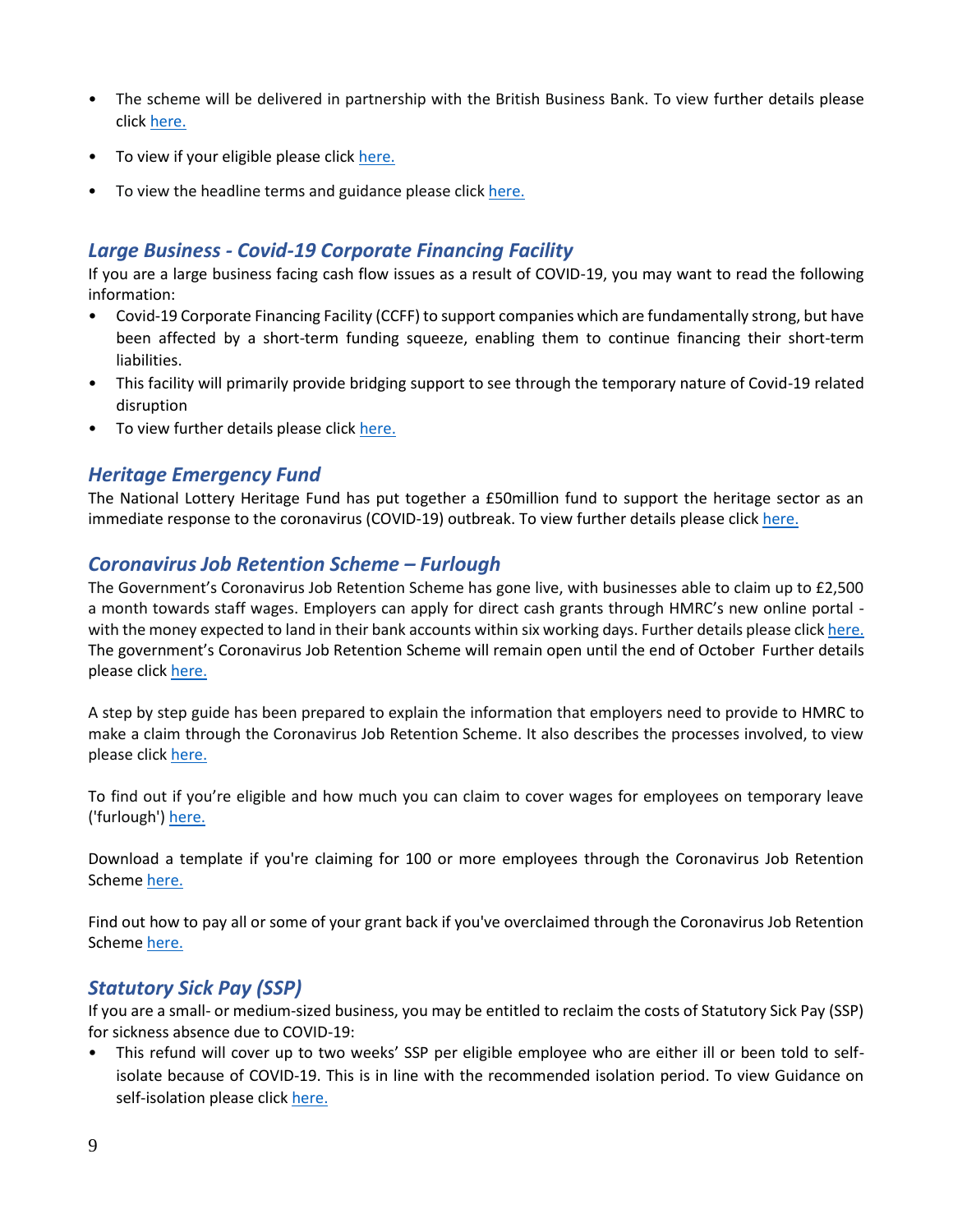- The scheme will be delivered in partnership with the British Business Bank. To view further details please click [here.](https://www.gov.uk/government/news/future-fund-launches-today)
- To view if your eligible please click [here.](https://www.gov.uk/guidance/future-fund)
- To view the headline terms and guidance please click [here.](https://assets.publishing.service.gov.uk/government/uploads/system/uploads/attachment_data/file/880119/Convertible_Loan_Key_Terms_-__Final_Version_.pdf)

#### <span id="page-8-0"></span>*Large Business - Covid-19 Corporate Financing Facility*

If you are a large business facing cash flow issues as a result of COVID-19, you may want to read the following information:

- Covid-19 Corporate Financing Facility (CCFF) to support companies which are fundamentally strong, but have been affected by a short-term funding squeeze, enabling them to continue financing their short-term liabilities.
- This facility will primarily provide bridging support to see through the temporary nature of Covid-19 related disruption
- To view further details please click [here.](https://www.gov.uk/government/publications/launch-of-covid-19-corporate-financing-facility-ccff)

#### <span id="page-8-1"></span>*Heritage Emergency Fund*

The National Lottery Heritage Fund has put together a £50million fund to support the heritage sector as an immediate response to the coronavirus (COVID-19) outbreak. To view further details please click [here.](https://www.heritagefund.org.uk/news/heritage-emergency-fund-launches-help-sector?utm_source=Trustees%20of%20the%20National%20Heritage%20Memorial%20Fund&utm_medium=email&utm_campaign=11448846_News%26Updates-Mar20&utm_content=HEF%20news%20story&dm_i=12AA,6TDZI,SXOQTL,RAONY,1)

#### <span id="page-8-2"></span>*Coronavirus Job Retention Scheme – Furlough*

The Government's Coronavirus Job Retention Scheme has gone live, with businesses able to claim up to £2,500 a month towards staff wages. Employers can apply for direct cash grants through HMRC's new online portal with the money expected to land in their bank accounts within six working days. Further details please click [here.](https://www.gov.uk/government/news/coronavirus-job-retention-scheme-up-and-running?utm_source=8b1c5c91-1aed-4eca-95fe-5e7a4f4a2d59&utm_medium=email&utm_campaign=govuk-notifications&utm_content=daily) The government's Coronavirus Job Retention Scheme will remain open until the end of October Further details please click [here.](https://www.gov.uk/government/news/chancellor-extends-furlough-scheme-until-october?utm_source=469e4bd6-b6c1-4149-a76b-97f84a86bb07&utm_medium=email&utm_campaign=govuk-notifications&utm_content=daily)

A step by step guide has been prepared to explain the information that employers need to provide to HMRC to make a claim through the Coronavirus Job Retention Scheme. It also describes the processes involved, to view please click [here.](https://assets.publishing.service.gov.uk/government/uploads/system/uploads/attachment_data/file/880376/Coronavirus_Job_Retention_Scheme_step_by_step_guide_for_employers.pdf)

To find out if you're eligible and how much you can claim to cover wages for employees on temporary leave ('furlough'[\) here.](https://www.gov.uk/guidance/claim-for-wage-costs-through-the-coronavirus-job-retention-scheme#contents)

Download a template if you're claiming for 100 or more employees through the Coronavirus Job Retention Schem[e here.](https://www.gov.uk/government/publications/download-a-template-if-youre-claiming-for-100-or-more-employees-through-the-coronavirus-job-retention-scheme?utm_source=39bc9a5c-5198-492e-a21a-816ef4922b17&utm_medium=email&utm_campaign=govuk-notifications&utm_content=daily)

Find out how to pay all or some of your grant back if you've overclaimed through the Coronavirus Job Retention Schem[e here.](https://www.gov.uk/guidance/pay-coronavirus-job-retention-scheme-grants-back?utm_source=d05d7002-4659-4a1a-9141-1a1eb85ced82&utm_medium=email&utm_campaign=govuk-notifications&utm_content=daily)

### <span id="page-8-3"></span>*Statutory Sick Pay (SSP)*

If you are a small- or medium-sized business, you may be entitled to reclaim the costs of Statutory Sick Pay (SSP) for sickness absence due to COVID-19:

• This refund will cover up to two weeks' SSP per eligible employee who are either ill or been told to selfisolate because of COVID-19. This is in line with the recommended isolation period. To view Guidance on self-isolation please clic[k here.](https://www.nhs.uk/conditions/coronavirus-covid-19/)